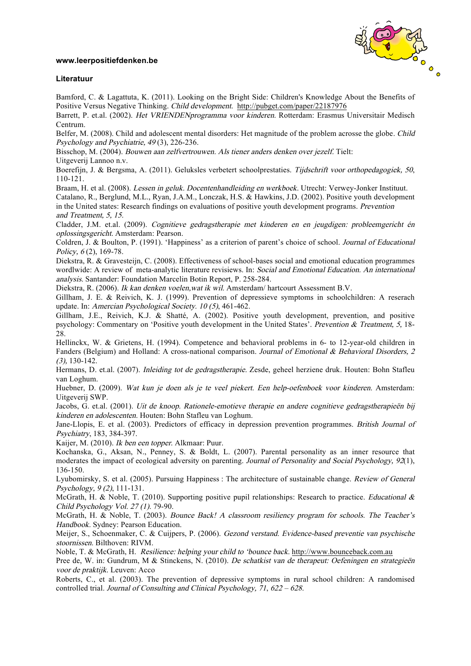## **www.leerpositiefdenken.be**



## **Literatuur**

Bamford, C. & Lagattuta, K. (2011). Looking on the Bright Side: Children's Knowledge About the Benefits of Positive Versus Negative Thinking. Child development. http://pubget.com/paper/22187976

Barrett, P. et.al. (2002). Het VRIENDENprogramma voor kinderen. Rotterdam: Erasmus Universitair Medisch Centrum.

Belfer, M. (2008). Child and adolescent mental disorders: Het magnitude of the problem acrosse the globe. Child Psychology and Psychiatrie, 49 (3), 226-236.

Bisschop, M. (2004). Bouwen aan zelfvertrouwen. Als tiener anders denken over jezelf. Tielt:

Uitgeverij Lannoo n.v.

Boerefijn, J. & Bergsma, A. (2011). Geluksles verbetert schoolprestaties. Tijdschrift voor orthopedagogiek, 50, 110-121.

Braam, H. et al. (2008). Lessen in geluk. Docentenhandleiding en werkboek. Utrecht: Verwey-Jonker Instituut.

Catalano, R., Berglund, M.L., Ryan, J.A.M., Lonczak, H.S. & Hawkins, J.D. (2002). Positive youth development in the United states: Research findings on evaluations of positive youth development programs. Prevention and Treatment, 5, 15.

Cladder, J.M. et.al. (2009). Cognitieve gedragstherapie met kinderen en en jeugdigen: probleemgericht én oplossingsgericht. Amsterdam: Pearson.

Coldren, J. & Boulton, P. (1991). 'Happiness' as a criterion of parent's choice of school. Journal of Educational Policy, 6(2), 169-78.

Diekstra, R. & Gravesteijn, C. (2008). Effectiveness of school-bases social and emotional education programmes wordlwide: A review of meta-analytic literature revisiews. In: Social and Emotional Education. An international analysis. Santander: Foundation Marcelin Botin Report, P. 258-284.

Diekstra, R. (2006). Ik kan denken voelen,wat ik wil. Amsterdam/ hartcourt Assessment B.V.

Gillham, J. E. & Reivich, K. J. (1999). Prevention of depressieve symptoms in schoolchildren: A reserach update. In: Amercian Psychological Society. 10 (5), 461-462.

Gillham, J.E., Reivich, K.J. & Shatté, A. (2002). Positive youth development, prevention, and positive psychology: Commentary on 'Positive youth development in the United States'. Prevention & Treatment, 5, 18- 28.

Hellinckx, W. & Grietens, H. (1994). Competence and behavioral problems in 6- to 12-year-old children in Fanders (Belgium) and Holland: A cross-national comparison. Journal of Emotional & Behavioral Disorders, 2 (3), 130-142.

Hermans, D. et.al. (2007). Inleiding tot de gedragstherapie. Zesde, geheel herziene druk. Houten: Bohn Stafleu van Loghum.

Huebner, D. (2009). Wat kun je doen als je te veel piekert. Een help-oefenboek voor kinderen. Amsterdam: Uitgeverij SWP.

Jacobs, G. et.al. (2001). Uit de knoop. Rationele-emotieve therapie en andere cognitieve gedragstherapieën bij kinderen en adolescenten. Houten: Bohn Stafleu van Loghum.

Jane-Llopis, E. et al. (2003). Predictors of efficacy in depression prevention programmes. British Journal of Psychiatry, 183, 384-397.

Kaijer, M. (2010). Ik ben een topper. Alkmaar: Puur.

Kochanska, G., Aksan, N., Penney, S. & Boldt, L. (2007). Parental personality as an inner resource that moderates the impact of ecological adversity on parenting. Journal of Personality and Social Psychology, 92(1), 136-150.

Lyubomirsky, S. et al. (2005). Pursuing Happiness : The architecture of sustainable change. Review of General Psychology, 9 (2), 111-131.

McGrath, H. & Noble, T. (2010). Supporting positive pupil relationships: Research to practice. *Educational &* Child Psychology Vol. 27 (1). 79-90.

McGrath, H. & Noble, T. (2003). Bounce Back! A classroom resiliency program for schools. The Teacher's Handbook. Sydney: Pearson Education.

Meijer, S., Schoenmaker, C. & Cuijpers, P. (2006). Gezond verstand. Evidence-based preventie van psychische stoornissen. Bilthoven: RIVM.

Noble, T. & McGrath, H. Resilience: helping your child to 'bounce back. http://www.bounceback.com.au

Pree de, W. in: Gundrum, M & Stinckens, N. (2010). De schatkist van de therapeut: Oefeningen en strategieën voor de praktijk. Leuven: Acco

Roberts, C., et al. (2003). The prevention of depressive symptoms in rural school children: A randomised controlled trial. Journal of Consulting and Clinical Psychology, <sup>71</sup>, 622 – 628.